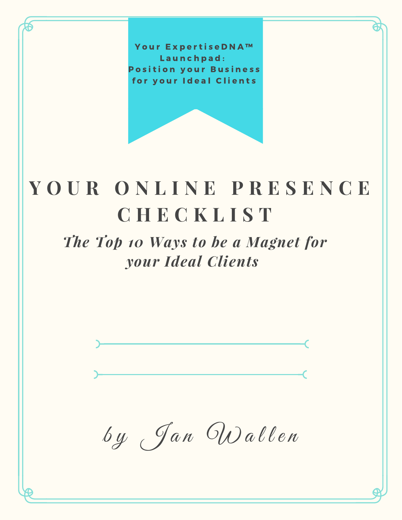Your ExpertiseDNA™ Launchpad: **Position your Business** for your Ideal Clients

# **Y O U R O N L I N E P R E S E N C E C H E C K L I S T**

## *The Top 10 Ways to be a Magnet for your Ideal Clients*

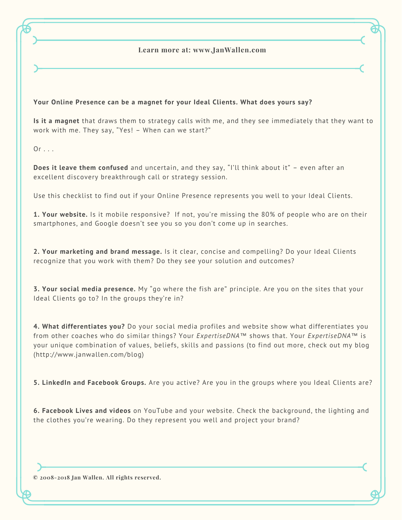### **Learn more at: www.JanWallen.com**

#### **Your Online Presence can be a magnet for your Ideal Clients. What does yours say?**

**Is it a magnet** that draws them to strategy calls with me, and they see immediately that they want to work with me. They say, "Yes! – When can we start?"

 $Or \ldots$ 

**Does it leave them confused** and uncertain, and they say, "I'll think about it" – even after an excellent discovery breakthrough call or strategy session.

Use this checklist to find out if your Online Presence represents you well to your Ideal Clients.

**1. Your website.** Is it mobile responsive? If not, you're missing the 80% of people who are on their smartphones, and Google doesn't see you so you don't come up in searches.

**2. Your marketing and brand message.** Is it clear, concise and compelling? Do your Ideal Clients recognize that you work with them? Do they see your solution and outcomes?

**3. Your social media presence.** My "go where the fish are" principle. Are you on the sites that your Ideal Clients go to? In the groups they're in?

**4. What differentiates you?** Do your social media profiles and website show what differentiates you from other coaches who do similar things? Your *ExpertiseDNA*™ shows that. Your *ExpertiseDNA*™ is your unique combination of values, beliefs, skills and passions (to find out more, check out my blog (http://www.janwallen.com/blog)

**5. LinkedIn and Facebook Groups.** Are you active? Are you in the groups where you Ideal Clients are?

**6. Facebook Lives and videos** on YouTube and your website. Check the background, the lighting and the clothes you're wearing. Do they represent you well and project your brand?

**© 2008-2018 Jan Wallen. All rights reserved.**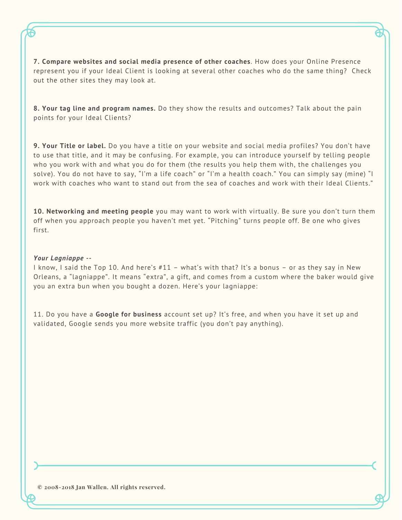**7. Compare websites and social media presence of other coaches**. How does your Online Presence represent you if your Ideal Client is looking at several other coaches who do the same thing? Check out the other sites they may look at.

**8. Your tag line and program names.** Do they show the results and outcomes? Talk about the pain points for your Ideal Clients?

**9. Your Title or label.** Do you have a title on your website and social media profiles? You don't have to use that title, and it may be confusing. For example, you can introduce yourself by telling people who you work with and what you do for them (the results you help them with, the challenges you solve). You do not have to say, "I'm a life coach" or "I'm a health coach." You can simply say (mine) "I work with coaches who want to stand out from the sea of coaches and work with their Ideal Clients."

**10. Networking and meeting people** you may want to work with virtually. Be sure you don't turn them off when you approach people you haven't met yet. "Pitching" turns people off. Be one who gives first.

#### *Your Lagniappe --*

I know, I said the Top 10. And here's #11 – what's with that? It's a bonus – or as they say in New Orleans, a "lagniappe". It means "extra", a gift, and comes from a custom where the baker would give you an extra bun when you bought a dozen. Here's your lagniappe:

11. Do you have a **Google for business** account set up? It's free, and when you have it set up and validated, Google sends you more website traffic (you don't pay anything).